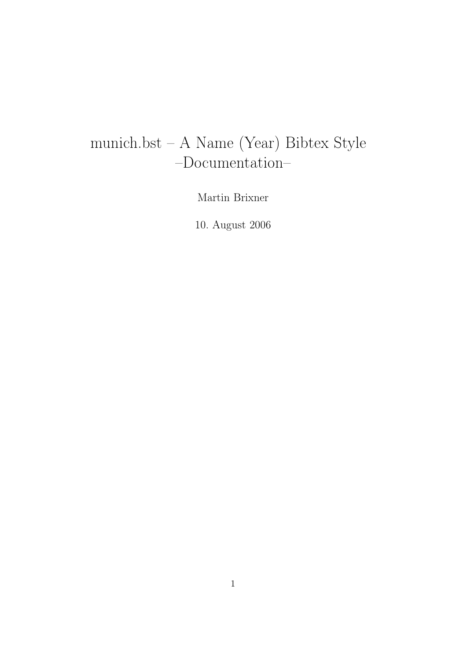# munich.bst – A Name (Year) Bibtex Style –Documentation–

Martin Brixner

10. August 2006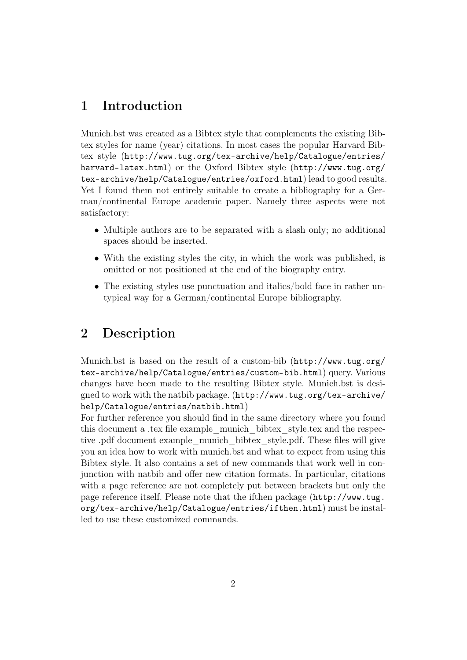## 1 Introduction

Munich.bst was created as a Bibtex style that complements the existing Bibtex styles for name (year) citations. In most cases the popular Harvard Bibtex style (http://www.tug.org/tex-archive/help/Catalogue/entries/ harvard-latex.html) or the Oxford Bibtex style (http://www.tug.org/ tex-archive/help/Catalogue/entries/oxford.html) lead to good results. Yet I found them not entirely suitable to create a bibliography for a German/continental Europe academic paper. Namely three aspects were not satisfactory:

- Multiple authors are to be separated with a slash only; no additional spaces should be inserted.
- With the existing styles the city, in which the work was published, is omitted or not positioned at the end of the biography entry.
- The existing styles use punctuation and italics/bold face in rather untypical way for a German/continental Europe bibliography.

#### 2 Description

Munich.bst is based on the result of a custom-bib (http://www.tug.org/ tex-archive/help/Catalogue/entries/custom-bib.html) query. Various changes have been made to the resulting Bibtex style. Munich.bst is designed to work with the natbib package. (http://www.tug.org/tex-archive/ help/Catalogue/entries/natbib.html)

For further reference you should find in the same directory where you found this document a .tex file example\_munich\_bibtex\_style.tex and the respective .pdf document example\_munich\_bibtex\_style.pdf. These files will give you an idea how to work with munich.bst and what to expect from using this Bibtex style. It also contains a set of new commands that work well in conjunction with natbib and offer new citation formats. In particular, citations with a page reference are not completely put between brackets but only the page reference itself. Please note that the ifthen package (http://www.tug. org/tex-archive/help/Catalogue/entries/ifthen.html) must be installed to use these customized commands.